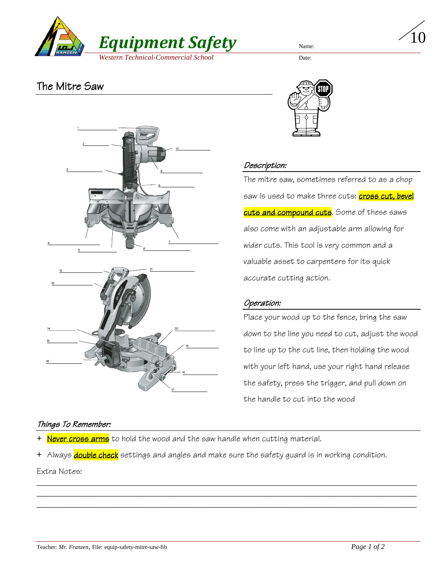

10

# The Mitre Saw



### Things To Remember:



### Description:

The mitre saw, sometimes referred to as a chop saw is used to make three cuts: <mark>cross cut, bevel</mark> cuts and compound cuts. Some of these saws also come with an adjustable arm allowing for wider cuts. This tool is very common and a valuable asset to carpenters for its quick accurate cutting action.

## Operation:

Place your wood up to the fence, bring the saw down to the line you need to cut, adjust the wood to line up to the cut line, then holding the wood with your left hand, use your right hand release the safety, press the trigger, and pull down on the handle to cut into the wood

- + Never cross arms to hold the wood and the saw handle when cutting material.
- + Always double check settings and angles and make sure the safety guard is in working condition.

\_\_\_\_\_\_\_\_\_\_\_\_\_\_\_\_\_\_\_\_\_\_\_\_\_\_\_\_\_\_\_\_\_\_\_\_\_\_\_\_\_\_\_\_\_\_\_\_\_\_\_\_\_\_\_\_\_\_\_\_\_\_\_\_\_\_\_\_\_\_\_\_\_\_\_\_\_\_\_\_\_\_\_\_\_\_\_ \_\_\_\_\_\_\_\_\_\_\_\_\_\_\_\_\_\_\_\_\_\_\_\_\_\_\_\_\_\_\_\_\_\_\_\_\_\_\_\_\_\_\_\_\_\_\_\_\_\_\_\_\_\_\_\_\_\_\_\_\_\_\_\_\_\_\_\_\_\_\_\_\_\_\_\_\_\_\_\_\_\_\_\_\_\_\_ \_\_\_\_\_\_\_\_\_\_\_\_\_\_\_\_\_\_\_\_\_\_\_\_\_\_\_\_\_\_\_\_\_\_\_\_\_\_\_\_\_\_\_\_\_\_\_\_\_\_\_\_\_\_\_\_\_\_\_\_\_\_\_\_\_\_\_\_\_\_\_\_\_\_\_\_\_\_\_\_\_\_\_\_\_\_\_

Extra Notes: